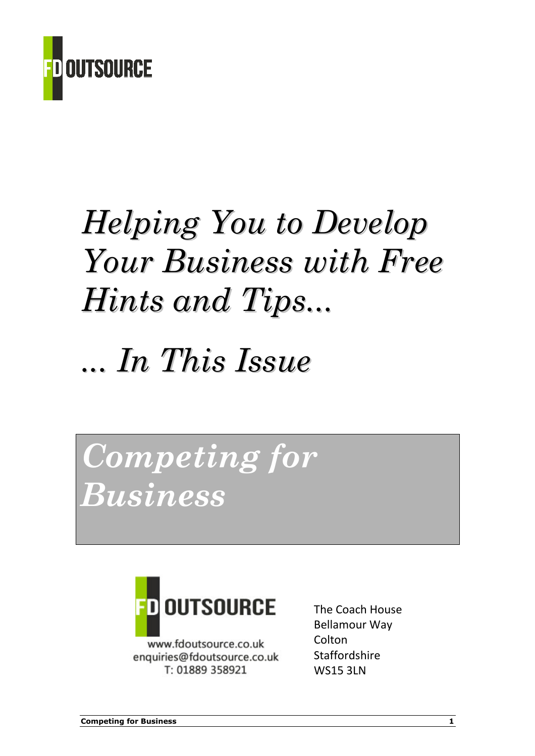

# Helping You to Develop Your Business with Free Hints and Tips...

# ... In This Issue

Competing for Business



www.fdoutsource.co.uk enquiries@fdoutsource.co.uk T: 01889 358921

The Coach House Bellamour Way Colton Staffordshire WS15 3LN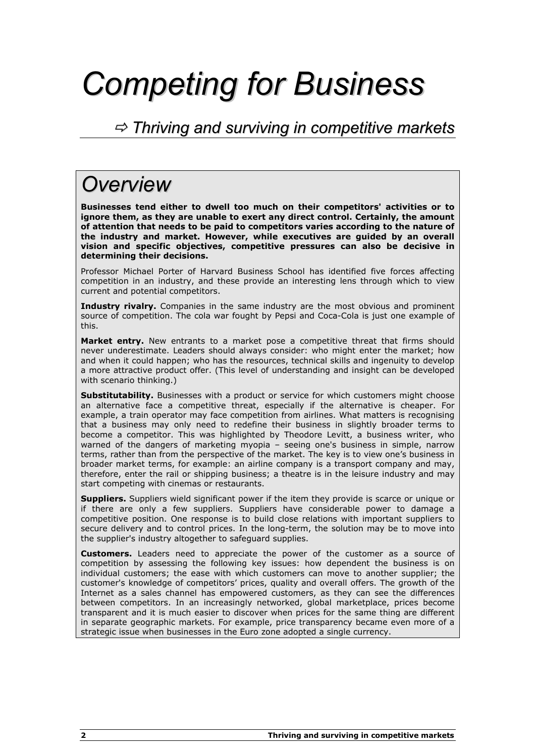# Competing for Business

### $\Rightarrow$  Thriving and surviving in competitive markets

### **Overview**

Businesses tend either to dwell too much on their competitors' activities or to ignore them, as they are unable to exert any direct control. Certainly, the amount of attention that needs to be paid to competitors varies according to the nature of the industry and market. However, while executives are guided by an overall vision and specific objectives, competitive pressures can also be decisive in determining their decisions.

Professor Michael Porter of Harvard Business School has identified five forces affecting competition in an industry, and these provide an interesting lens through which to view current and potential competitors.

Industry rivalry. Companies in the same industry are the most obvious and prominent source of competition. The cola war fought by Pepsi and Coca-Cola is just one example of this.

Market entry. New entrants to a market pose a competitive threat that firms should never underestimate. Leaders should always consider: who might enter the market; how and when it could happen; who has the resources, technical skills and ingenuity to develop a more attractive product offer. (This level of understanding and insight can be developed with scenario thinking.)

Substitutability. Businesses with a product or service for which customers might choose an alternative face a competitive threat, especially if the alternative is cheaper. For example, a train operator may face competition from airlines. What matters is recognising that a business may only need to redefine their business in slightly broader terms to become a competitor. This was highlighted by Theodore Levitt, a business writer, who warned of the dangers of marketing myopia – seeing one's business in simple, narrow terms, rather than from the perspective of the market. The key is to view one's business in broader market terms, for example: an airline company is a transport company and may, therefore, enter the rail or shipping business; a theatre is in the leisure industry and may start competing with cinemas or restaurants.

**Suppliers.** Suppliers wield significant power if the item they provide is scarce or unique or if there are only a few suppliers. Suppliers have considerable power to damage a competitive position. One response is to build close relations with important suppliers to secure delivery and to control prices. In the long-term, the solution may be to move into the supplier's industry altogether to safeguard supplies.

**Customers.** Leaders need to appreciate the power of the customer as a source of competition by assessing the following key issues: how dependent the business is on individual customers; the ease with which customers can move to another supplier; the customer's knowledge of competitors' prices, quality and overall offers. The growth of the Internet as a sales channel has empowered customers, as they can see the differences between competitors. In an increasingly networked, global marketplace, prices become transparent and it is much easier to discover when prices for the same thing are different in separate geographic markets. For example, price transparency became even more of a strategic issue when businesses in the Euro zone adopted a single currency.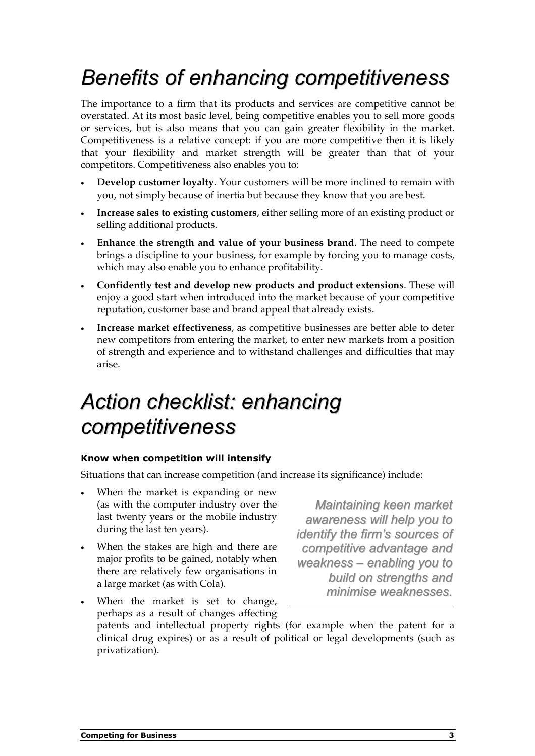# Benefits of enhancing competitiveness

The importance to a firm that its products and services are competitive cannot be overstated. At its most basic level, being competitive enables you to sell more goods or services, but is also means that you can gain greater flexibility in the market. Competitiveness is a relative concept: if you are more competitive then it is likely that your flexibility and market strength will be greater than that of your competitors. Competitiveness also enables you to:

- Develop customer loyalty. Your customers will be more inclined to remain with you, not simply because of inertia but because they know that you are best.
- Increase sales to existing customers, either selling more of an existing product or selling additional products.
- Enhance the strength and value of your business brand. The need to compete brings a discipline to your business, for example by forcing you to manage costs, which may also enable you to enhance profitability.
- Confidently test and develop new products and product extensions. These will enjoy a good start when introduced into the market because of your competitive reputation, customer base and brand appeal that already exists.
- Increase market effectiveness, as competitive businesses are better able to deter new competitors from entering the market, to enter new markets from a position of strength and experience and to withstand challenges and difficulties that may arise.

# Action checklist: enhancing competitiveness

### Know when competition will intensify

Situations that can increase competition (and increase its significance) include:

- When the market is expanding or new (as with the computer industry over the last twenty years or the mobile industry during the last ten years).
- When the stakes are high and there are major profits to be gained, notably when there are relatively few organisations in a large market (as with Cola).

Maintaining keen market awareness will help you to identify the firm's sources of competitive advantage and weakness – enabling you to build on strengths and minimise weaknesses.

When the market is set to change, perhaps as a result of changes affecting patents and intellectual property rights (for example when the patent for a clinical drug expires) or as a result of political or legal developments (such as privatization).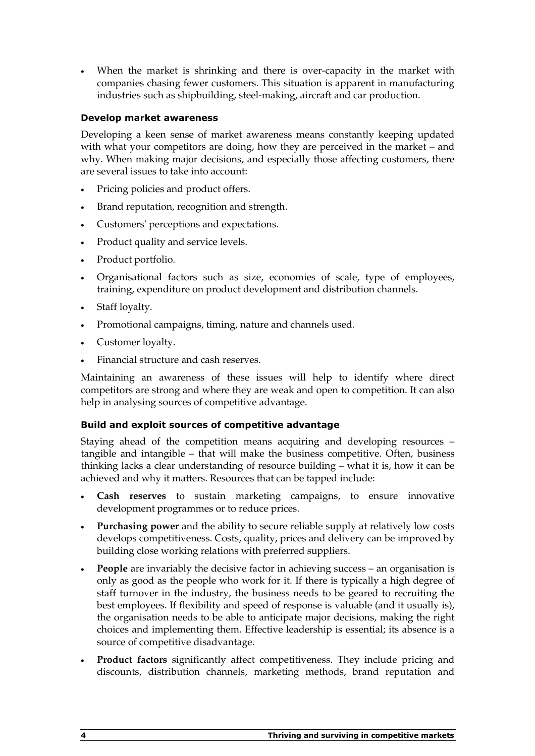When the market is shrinking and there is over-capacity in the market with companies chasing fewer customers. This situation is apparent in manufacturing industries such as shipbuilding, steel-making, aircraft and car production.

### Develop market awareness

Developing a keen sense of market awareness means constantly keeping updated with what your competitors are doing, how they are perceived in the market – and why. When making major decisions, and especially those affecting customers, there are several issues to take into account:

- Pricing policies and product offers.
- Brand reputation, recognition and strength.
- Customers' perceptions and expectations.
- Product quality and service levels.
- Product portfolio.
- Organisational factors such as size, economies of scale, type of employees, training, expenditure on product development and distribution channels.
- Staff loyalty.
- Promotional campaigns, timing, nature and channels used.
- Customer loyalty.
- Financial structure and cash reserves.

Maintaining an awareness of these issues will help to identify where direct competitors are strong and where they are weak and open to competition. It can also help in analysing sources of competitive advantage.

### Build and exploit sources of competitive advantage

Staying ahead of the competition means acquiring and developing resources – tangible and intangible – that will make the business competitive. Often, business thinking lacks a clear understanding of resource building – what it is, how it can be achieved and why it matters. Resources that can be tapped include:

- Cash reserves to sustain marketing campaigns, to ensure innovative development programmes or to reduce prices.
- Purchasing power and the ability to secure reliable supply at relatively low costs develops competitiveness. Costs, quality, prices and delivery can be improved by building close working relations with preferred suppliers.
- People are invariably the decisive factor in achieving success an organisation is only as good as the people who work for it. If there is typically a high degree of staff turnover in the industry, the business needs to be geared to recruiting the best employees. If flexibility and speed of response is valuable (and it usually is), the organisation needs to be able to anticipate major decisions, making the right choices and implementing them. Effective leadership is essential; its absence is a source of competitive disadvantage.
- Product factors significantly affect competitiveness. They include pricing and discounts, distribution channels, marketing methods, brand reputation and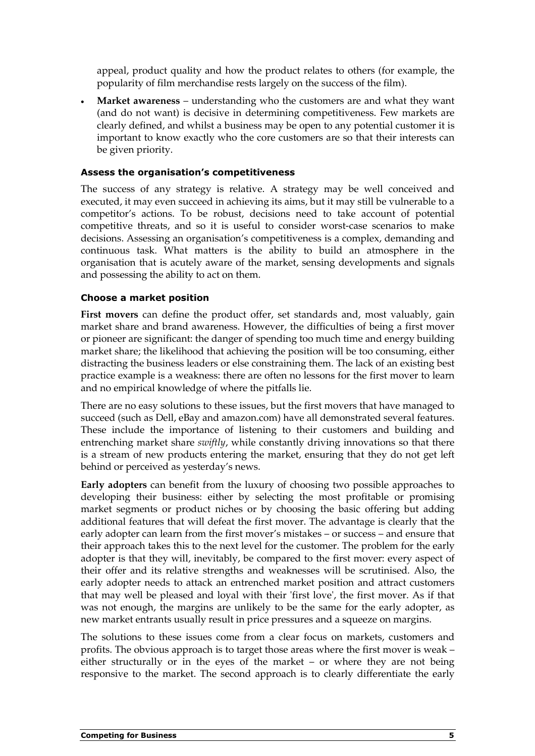appeal, product quality and how the product relates to others (for example, the popularity of film merchandise rests largely on the success of the film).

• Market awareness – understanding who the customers are and what they want (and do not want) is decisive in determining competitiveness. Few markets are clearly defined, and whilst a business may be open to any potential customer it is important to know exactly who the core customers are so that their interests can be given priority.

### Assess the organisation's competitiveness

The success of any strategy is relative. A strategy may be well conceived and executed, it may even succeed in achieving its aims, but it may still be vulnerable to a competitor's actions. To be robust, decisions need to take account of potential competitive threats, and so it is useful to consider worst-case scenarios to make decisions. Assessing an organisation's competitiveness is a complex, demanding and continuous task. What matters is the ability to build an atmosphere in the organisation that is acutely aware of the market, sensing developments and signals and possessing the ability to act on them.

### Choose a market position

First movers can define the product offer, set standards and, most valuably, gain market share and brand awareness. However, the difficulties of being a first mover or pioneer are significant: the danger of spending too much time and energy building market share; the likelihood that achieving the position will be too consuming, either distracting the business leaders or else constraining them. The lack of an existing best practice example is a weakness: there are often no lessons for the first mover to learn and no empirical knowledge of where the pitfalls lie.

There are no easy solutions to these issues, but the first movers that have managed to succeed (such as Dell, eBay and amazon.com) have all demonstrated several features. These include the importance of listening to their customers and building and entrenching market share swiftly, while constantly driving innovations so that there is a stream of new products entering the market, ensuring that they do not get left behind or perceived as yesterday's news.

Early adopters can benefit from the luxury of choosing two possible approaches to developing their business: either by selecting the most profitable or promising market segments or product niches or by choosing the basic offering but adding additional features that will defeat the first mover. The advantage is clearly that the early adopter can learn from the first mover's mistakes – or success – and ensure that their approach takes this to the next level for the customer. The problem for the early adopter is that they will, inevitably, be compared to the first mover: every aspect of their offer and its relative strengths and weaknesses will be scrutinised. Also, the early adopter needs to attack an entrenched market position and attract customers that may well be pleased and loyal with their 'first love', the first mover. As if that was not enough, the margins are unlikely to be the same for the early adopter, as new market entrants usually result in price pressures and a squeeze on margins.

The solutions to these issues come from a clear focus on markets, customers and profits. The obvious approach is to target those areas where the first mover is weak – either structurally or in the eyes of the market – or where they are not being responsive to the market. The second approach is to clearly differentiate the early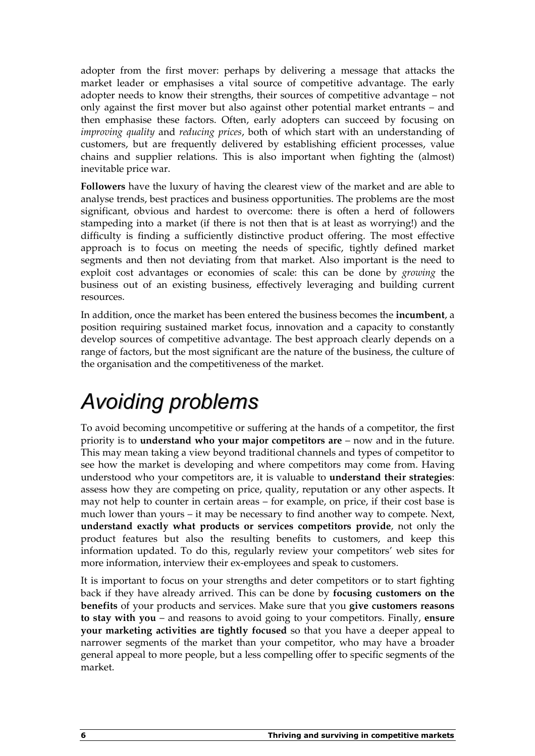adopter from the first mover: perhaps by delivering a message that attacks the market leader or emphasises a vital source of competitive advantage. The early adopter needs to know their strengths, their sources of competitive advantage – not only against the first mover but also against other potential market entrants – and then emphasise these factors. Often, early adopters can succeed by focusing on improving quality and reducing prices, both of which start with an understanding of customers, but are frequently delivered by establishing efficient processes, value chains and supplier relations. This is also important when fighting the (almost) inevitable price war.

Followers have the luxury of having the clearest view of the market and are able to analyse trends, best practices and business opportunities. The problems are the most significant, obvious and hardest to overcome: there is often a herd of followers stampeding into a market (if there is not then that is at least as worrying!) and the difficulty is finding a sufficiently distinctive product offering. The most effective approach is to focus on meeting the needs of specific, tightly defined market segments and then not deviating from that market. Also important is the need to exploit cost advantages or economies of scale: this can be done by growing the business out of an existing business, effectively leveraging and building current resources.

In addition, once the market has been entered the business becomes the incumbent, a position requiring sustained market focus, innovation and a capacity to constantly develop sources of competitive advantage. The best approach clearly depends on a range of factors, but the most significant are the nature of the business, the culture of the organisation and the competitiveness of the market.

# Avoiding problems

To avoid becoming uncompetitive or suffering at the hands of a competitor, the first priority is to understand who your major competitors are – now and in the future. This may mean taking a view beyond traditional channels and types of competitor to see how the market is developing and where competitors may come from. Having understood who your competitors are, it is valuable to understand their strategies: assess how they are competing on price, quality, reputation or any other aspects. It may not help to counter in certain areas – for example, on price, if their cost base is much lower than yours – it may be necessary to find another way to compete. Next, understand exactly what products or services competitors provide, not only the product features but also the resulting benefits to customers, and keep this information updated. To do this, regularly review your competitors' web sites for more information, interview their ex-employees and speak to customers.

It is important to focus on your strengths and deter competitors or to start fighting back if they have already arrived. This can be done by focusing customers on the benefits of your products and services. Make sure that you give customers reasons to stay with you – and reasons to avoid going to your competitors. Finally, ensure your marketing activities are tightly focused so that you have a deeper appeal to narrower segments of the market than your competitor, who may have a broader general appeal to more people, but a less compelling offer to specific segments of the market.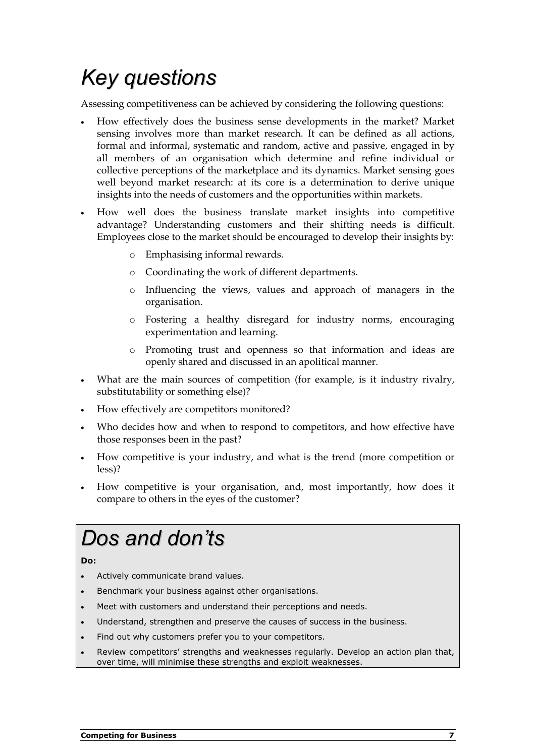# Key questions

Assessing competitiveness can be achieved by considering the following questions:

- How effectively does the business sense developments in the market? Market sensing involves more than market research. It can be defined as all actions, formal and informal, systematic and random, active and passive, engaged in by all members of an organisation which determine and refine individual or collective perceptions of the marketplace and its dynamics. Market sensing goes well beyond market research: at its core is a determination to derive unique insights into the needs of customers and the opportunities within markets.
- How well does the business translate market insights into competitive advantage? Understanding customers and their shifting needs is difficult. Employees close to the market should be encouraged to develop their insights by:
	- o Emphasising informal rewards.
	- o Coordinating the work of different departments.
	- o Influencing the views, values and approach of managers in the organisation.
	- o Fostering a healthy disregard for industry norms, encouraging experimentation and learning.
	- o Promoting trust and openness so that information and ideas are openly shared and discussed in an apolitical manner.
- What are the main sources of competition (for example, is it industry rivalry, substitutability or something else)?
- How effectively are competitors monitored?
- Who decides how and when to respond to competitors, and how effective have those responses been in the past?
- How competitive is your industry, and what is the trend (more competition or less)?
- How competitive is your organisation, and, most importantly, how does it compare to others in the eyes of the customer?

## Dos and don'ts

### Do:

- Actively communicate brand values.
- Benchmark your business against other organisations.
- Meet with customers and understand their perceptions and needs.
- Understand, strengthen and preserve the causes of success in the business.
- Find out why customers prefer you to your competitors.
- Review competitors' strengths and weaknesses regularly. Develop an action plan that, over time, will minimise these strengths and exploit weaknesses.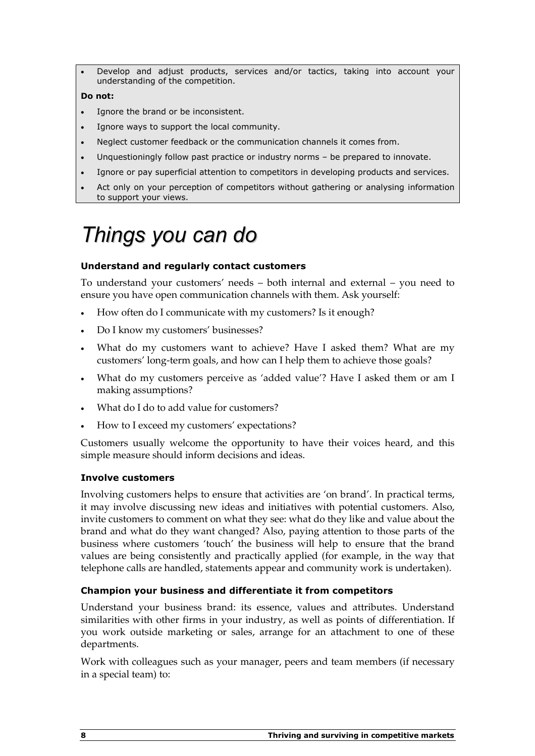• Develop and adjust products, services and/or tactics, taking into account your understanding of the competition.

#### Do not:

- Ignore the brand or be inconsistent.
- Ignore ways to support the local community.
- Neglect customer feedback or the communication channels it comes from.
- Unquestioningly follow past practice or industry norms be prepared to innovate.
- Ignore or pay superficial attention to competitors in developing products and services.
- Act only on your perception of competitors without gathering or analysing information to support your views.

# Things you can do

### Understand and regularly contact customers

To understand your customers' needs – both internal and external – you need to ensure you have open communication channels with them. Ask yourself:

- How often do I communicate with my customers? Is it enough?
- Do I know my customers' businesses?
- What do my customers want to achieve? Have I asked them? What are my customers' long-term goals, and how can I help them to achieve those goals?
- What do my customers perceive as 'added value'? Have I asked them or am I making assumptions?
- What do I do to add value for customers?
- How to I exceed my customers' expectations?

Customers usually welcome the opportunity to have their voices heard, and this simple measure should inform decisions and ideas.

### Involve customers

Involving customers helps to ensure that activities are 'on brand'. In practical terms, it may involve discussing new ideas and initiatives with potential customers. Also, invite customers to comment on what they see: what do they like and value about the brand and what do they want changed? Also, paying attention to those parts of the business where customers 'touch' the business will help to ensure that the brand values are being consistently and practically applied (for example, in the way that telephone calls are handled, statements appear and community work is undertaken).

### Champion your business and differentiate it from competitors

Understand your business brand: its essence, values and attributes. Understand similarities with other firms in your industry, as well as points of differentiation. If you work outside marketing or sales, arrange for an attachment to one of these departments.

Work with colleagues such as your manager, peers and team members (if necessary in a special team) to: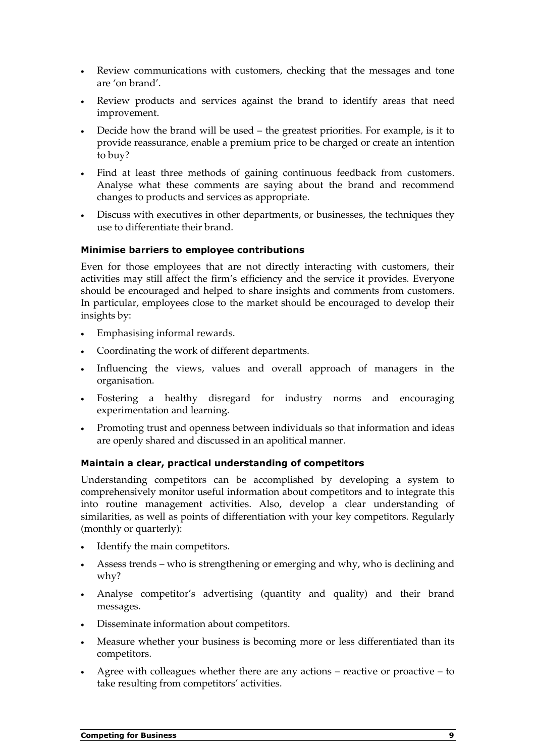- Review communications with customers, checking that the messages and tone are 'on brand'.
- Review products and services against the brand to identify areas that need improvement.
- Decide how the brand will be used the greatest priorities. For example, is it to provide reassurance, enable a premium price to be charged or create an intention to buy?
- Find at least three methods of gaining continuous feedback from customers. Analyse what these comments are saying about the brand and recommend changes to products and services as appropriate.
- Discuss with executives in other departments, or businesses, the techniques they use to differentiate their brand.

### Minimise barriers to employee contributions

Even for those employees that are not directly interacting with customers, their activities may still affect the firm's efficiency and the service it provides. Everyone should be encouraged and helped to share insights and comments from customers. In particular, employees close to the market should be encouraged to develop their insights by:

- Emphasising informal rewards.
- Coordinating the work of different departments.
- Influencing the views, values and overall approach of managers in the organisation.
- Fostering a healthy disregard for industry norms and encouraging experimentation and learning.
- Promoting trust and openness between individuals so that information and ideas are openly shared and discussed in an apolitical manner.

### Maintain a clear, practical understanding of competitors

Understanding competitors can be accomplished by developing a system to comprehensively monitor useful information about competitors and to integrate this into routine management activities. Also, develop a clear understanding of similarities, as well as points of differentiation with your key competitors. Regularly (monthly or quarterly):

- Identify the main competitors.
- Assess trends who is strengthening or emerging and why, who is declining and why?
- Analyse competitor's advertising (quantity and quality) and their brand messages.
- Disseminate information about competitors.
- Measure whether your business is becoming more or less differentiated than its competitors.
- Agree with colleagues whether there are any actions reactive or proactive to take resulting from competitors' activities.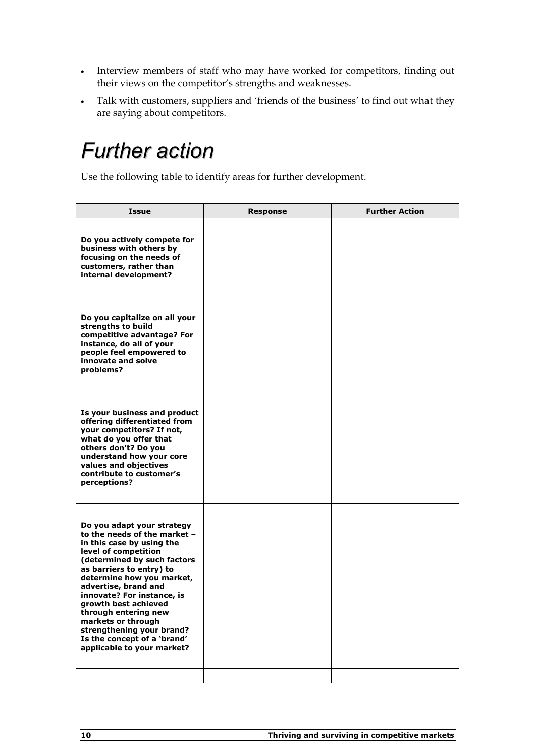- Interview members of staff who may have worked for competitors, finding out their views on the competitor's strengths and weaknesses.
- Talk with customers, suppliers and 'friends of the business' to find out what they are saying about competitors.

### Further action

Use the following table to identify areas for further development.

| <b>Issue</b>                                                                                                                                                                                                                                                                                                                                                                                                                  | <b>Response</b> | <b>Further Action</b> |
|-------------------------------------------------------------------------------------------------------------------------------------------------------------------------------------------------------------------------------------------------------------------------------------------------------------------------------------------------------------------------------------------------------------------------------|-----------------|-----------------------|
| Do you actively compete for<br>business with others by<br>focusing on the needs of<br>customers, rather than<br>internal development?                                                                                                                                                                                                                                                                                         |                 |                       |
| Do you capitalize on all your<br>strengths to build<br>competitive advantage? For<br>instance, do all of your<br>people feel empowered to<br>innovate and solve<br>problems?                                                                                                                                                                                                                                                  |                 |                       |
| Is your business and product<br>offering differentiated from<br>your competitors? If not,<br>what do you offer that<br>others don't? Do you<br>understand how your core<br>values and objectives<br>contribute to customer's<br>perceptions?                                                                                                                                                                                  |                 |                       |
| Do you adapt your strategy<br>to the needs of the market -<br>in this case by using the<br>level of competition<br>(determined by such factors<br>as barriers to entry) to<br>determine how you market,<br>advertise, brand and<br>innovate? For instance, is<br>growth best achieved<br>through entering new<br>markets or through<br>strengthening your brand?<br>Is the concept of a 'brand'<br>applicable to your market? |                 |                       |